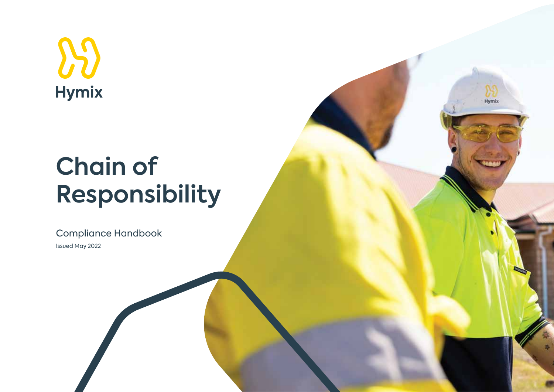# m. Hymix

# **Chain of Responsibility**

Hymix

Compliance Handbook Issued May 2022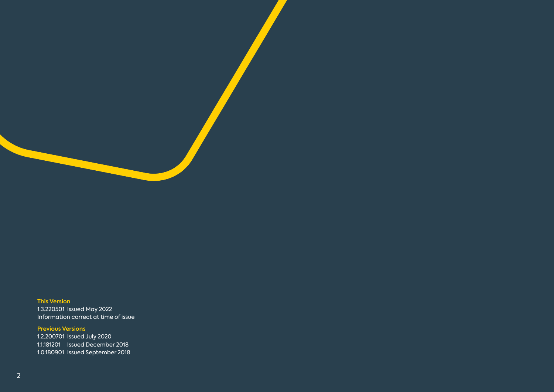**This Version** 1.3.220501 Issued May 2022 Information correct at time of issue

#### **Previous Versions**

1.2.200701 Issued July 2020 1.1.181201 Issued December 2018 1.0.180901 Issued September 2018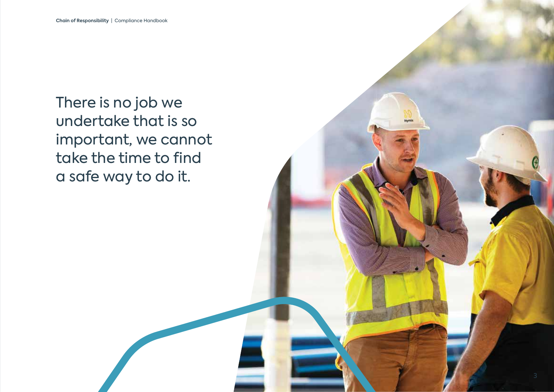There is no job we undertake that is so important, we cannot take the time to find a safe way to do it.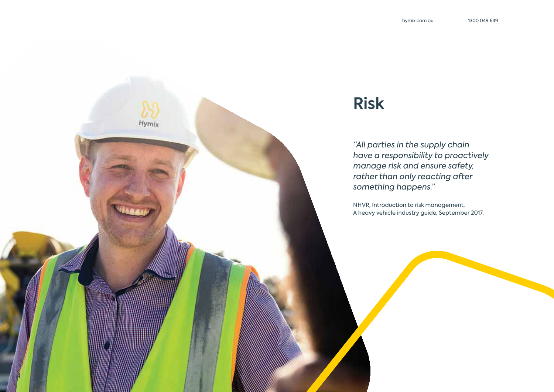# Hymix 4

## **Risk**

*"All parties in the supply chain have a responsibility to proactively manage risk and ensure safety, rather than only reacting after something happens."*

NHVR, Introduction to risk management, A heavy vehicle industry guide, September 2017.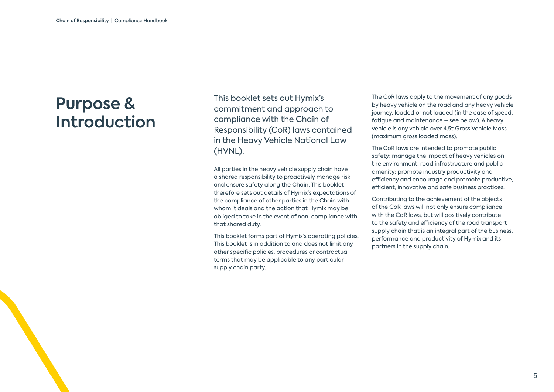## **Purpose & Introduction**

This booklet sets out Hymix's commitment and approach to compliance with the Chain of Responsibility (CoR) laws contained in the Heavy Vehicle National Law (HVNL).

All parties in the heavy vehicle supply chain have a shared responsibility to proactively manage risk and ensure safety along the Chain. This booklet therefore sets out details of Hymix's expectations of the compliance of other parties in the Chain with whom it deals and the action that Hymix may be obliged to take in the event of non-compliance with that shared duty.

This booklet forms part of Hymix's operating policies. This booklet is in addition to and does not limit any other specific policies, procedures or contractual terms that may be applicable to any particular supply chain party.

The CoR laws apply to the movement of any goods by heavy vehicle on the road and any heavy vehicle journey, loaded or not loaded (in the case of speed, fatigue and maintenance – see below). A heavy vehicle is any vehicle over 4.5t Gross Vehicle Mass (maximum gross loaded mass).

The CoR laws are intended to promote public safety; manage the impact of heavy vehicles on the environment, road infrastructure and public amenity; promote industry productivity and efficiency and encourage and promote productive, efficient, innovative and safe business practices.

Contributing to the achievement of the objects of the CoR laws will not only ensure compliance with the CoR laws, but will positively contribute to the safety and efficiency of the road transport supply chain that is an integral part of the business, performance and productivity of Hymix and its partners in the supply chain.

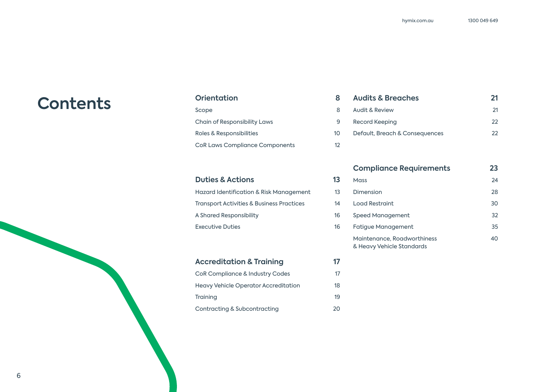

#### **Duties & Actions 13**

| Hazard Identification & Risk Management   | 13 |
|-------------------------------------------|----|
| Transport Activities & Business Practices | 14 |
| A Shared Responsibility                   | 16 |
| <b>Executive Duties</b>                   | 16 |

## **Accreditation & Training 17** CoR Compliance & Industry Codes 17 Heavy Vehicle Operator Accreditation 18 Training 19 Contracting & Subcontracting 20

| <b>Audits &amp; Breaches</b>   | 21 |
|--------------------------------|----|
| Audit & Review                 | 21 |
| Record Keeping                 | 22 |
| Default, Breach & Consequences | 22 |
|                                |    |

#### **Compliance Requirements 23**

|   | Mass                                                     | 24 |
|---|----------------------------------------------------------|----|
|   | Dimension                                                | 28 |
| 4 | Load Restraint                                           | 30 |
| 5 | Speed Management                                         | 32 |
|   | Fatique Management                                       | 35 |
|   | Maintenance, Roadworthiness<br>& Heavy Vehicle Standards | 40 |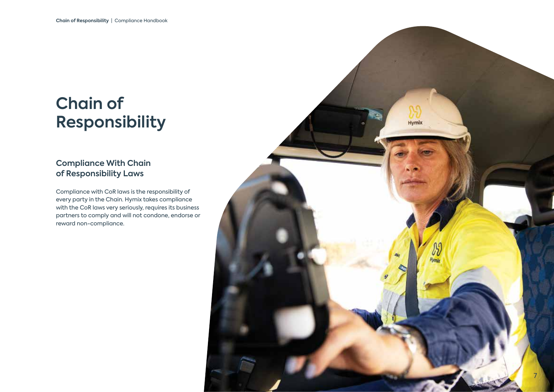## **Chain of Responsibility**

## **Compliance With Chain of Responsibility Laws**

Compliance with CoR laws is the responsibility of every party in the Chain. Hymix takes compliance with the CoR laws very seriously, requires its business partners to comply and will not condone, endorse or reward non-compliance.

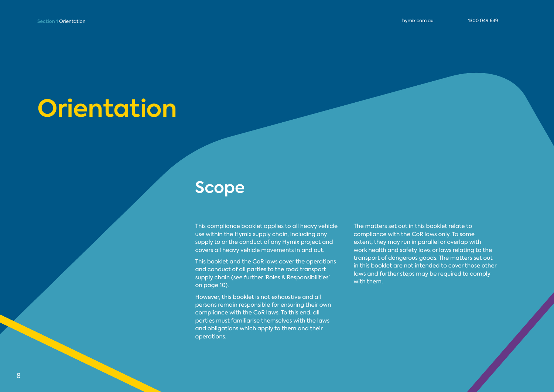## **Orientation**

## **Scope**

This compliance booklet applies to all heavy vehicle use within the Hymix supply chain, including any supply to or the conduct of any Hymix project and covers all heavy vehicle movements in and out.

This booklet and the CoR laws cover the operations and conduct of all parties to the road transport supply chain (see further 'Roles & Responsibilities' on page 10).

However, this booklet is not exhaustive and all persons remain responsible for ensuring their own compliance with the CoR laws. To this end, all parties must familiarise themselves with the laws and obligations which apply to them and their operations.

The matters set out in this booklet relate to compliance with the CoR laws only. To some extent, they may run in parallel or overlap with work health and safety laws or laws relating to the transport of dangerous goods. The matters set out in this booklet are not intended to cover those other laws and further steps may be required to comply with them.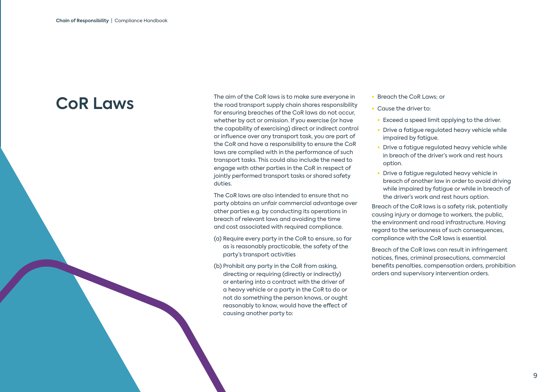The aim of the CoR laws is to make sure everyone in the road transport supply chain shares responsibility for ensuring breaches of the CoR laws do not occur, whether by act or omission. If you exercise (or have the capability of exercising) direct or indirect control or influence over any transport task, you are part of the CoR and have a responsibility to ensure the CoR laws are complied with in the performance of such transport tasks. This could also include the need to engage with other parties in the CoR in respect of jointly performed transport tasks or shared safety duties. **COR LAWS** The aim of the CoR laws is to make sure everyone in **•** Breach the CoR Laws; or the road transport supply chain shares responsibility **Contract the district** of the road transport supply chain shares responsibil

> The CoR laws are also intended to ensure that no party obtains an unfair commercial advantage over other parties e.g. by conducting its operations in breach of relevant laws and avoiding the time and cost associated with required compliance.

- (a) Require every party in the CoR to ensure, so far as is reasonably practicable, the safety of the party's transport activities
- (b) Prohibit any party in the CoR from asking, directing or requiring (directly or indirectly) or entering into a contract with the driver of a heavy vehicle or a party in the CoR to do or not do something the person knows, or ought reasonably to know, would have the effect of causing another party to:
- 
- **•** Cause the driver to:
- **•** Exceed a speed limit applying to the driver.
- **•** Drive a fatigue regulated heavy vehicle while impaired by fatigue.
- **•** Drive a fatigue regulated heavy vehicle while in breach of the driver's work and rest hours option.
- **•** Drive a fatigue regulated heavy vehicle in breach of another law in order to avoid driving while impaired by fatigue or while in breach of the driver's work and rest hours option.

Breach of the CoR laws is a safety risk, potentially causing injury or damage to workers, the public, the environment and road infrastructure. Having regard to the seriousness of such consequences, compliance with the CoR laws is essential.

Breach of the CoR laws can result in infringement notices, fines, criminal prosecutions, commercial benefits penalties, compensation orders, prohibition orders and supervisory intervention orders.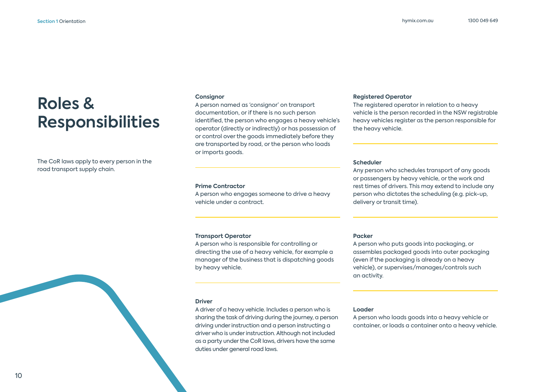## **Roles & Responsibilities**

The CoR laws apply to every person in the road transport supply chain.

#### **Consignor**

A person named as 'consignor' on transport documentation, or if there is no such person identified, the person who engages a heavy vehicle's operator (directly or indirectly) or has possession of or control over the goods immediately before they are transported by road, or the person who loads or imports goods.

#### **Prime Contractor**

A person who engages someone to drive a heavy vehicle under a contract.

#### **Registered Operator**

The registered operator in relation to a heavy vehicle is the person recorded in the NSW registrable heavy vehicles register as the person responsible for the heavy vehicle.

#### **Scheduler**

Any person who schedules transport of any goods or passengers by heavy vehicle, or the work and rest times of drivers. This may extend to include any person who dictates the scheduling (e.g. pick-up, delivery or transit time).

#### **Transport Operator**

A person who is responsible for controlling or directing the use of a heavy vehicle, for example a manager of the business that is dispatching goods by heavy vehicle.

#### **Packer**

A person who puts goods into packaging, or assembles packaged goods into outer packaging (even if the packaging is already on a heavy vehicle), or supervises/manages/controls such an activity.



#### **Driver**

A driver of a heavy vehicle. Includes a person who is sharing the task of driving during the journey, a person driving under instruction and a person instructing a driver who is under instruction. Although not included as a party under the CoR laws, drivers have the same duties under general road laws.

#### **Loader**

A person who loads goods into a heavy vehicle or container, or loads a container onto a heavy vehicle.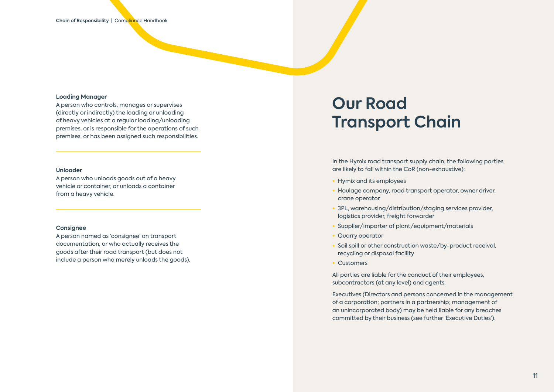#### **Loading Manager**

A person who controls, manages or supervises (directly or indirectly) the loading or unloading of heavy vehicles at a regular loading/unloading premises, or is responsible for the operations of such premises, or has been assigned such responsibilities.

#### **Unloader**

A person who unloads goods out of a heavy vehicle or container, or unloads a container from a heavy vehicle.

#### **Consignee**

A person named as 'consignee' on transport documentation, or who actually receives the goods after their road transport (but does not include a person who merely unloads the goods).

## **Our Road Transport Chain**

In the Hymix road transport supply chain, the following parties are likely to fall within the CoR (non-exhaustive):

- **•** Hymix and its employees
- **•** Haulage company, road transport operator, owner driver, crane operator
- **•** 3PL, warehousing/distribution/staging services provider, logistics provider, freight forwarder
- **•** Supplier/importer of plant/equipment/materials
- **•** Quarry operator
- **•** Soil spill or other construction waste/by-product receival, recycling or disposal facility
- **•** Customers

All parties are liable for the conduct of their employees, subcontractors (at any level) and agents.

Executives (Directors and persons concerned in the management of a corporation; partners in a partnership; management of an unincorporated body) may be held liable for any breaches committed by their business (see further 'Executive Duties').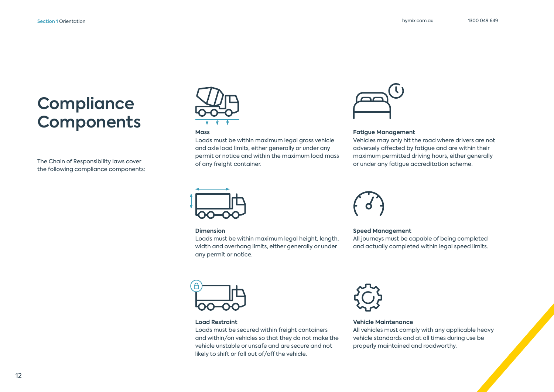## **Compliance Components**

The Chain of Responsibility laws cover the following compliance components:



#### **Mass**

Loads must be within maximum legal gross vehicle and axle load limits, either generally or under any permit or notice and within the maximum load mass of any freight container.



#### **Fatigue Management**

Vehicles may only hit the road where drivers are not adversely affected by fatigue and are within their maximum permitted driving hours, either generally or under any fatigue accreditation scheme.



#### **Dimension**

Loads must be within maximum legal height, length, width and overhang limits, either generally or under any permit or notice.



#### **Speed Management**

All journeys must be capable of being completed and actually completed within legal speed limits.



#### **Load Restraint**

Loads must be secured within freight containers and within/on vehicles so that they do not make the vehicle unstable or unsafe and are secure and not likely to shift or fall out of/off the vehicle.



#### **Vehicle Maintenance**

All vehicles must comply with any applicable heavy vehicle standards and at all times during use be properly maintained and roadworthy.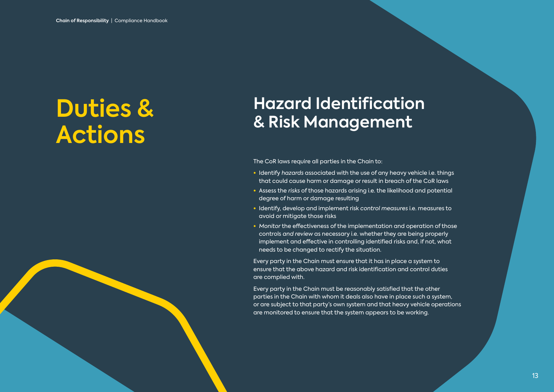# **Duties & Actions**

## **Hazard Identification & Risk Management**

The CoR laws require all parties in the Chain to:

- **•** Identify *hazards* associated with the use of any heavy vehicle i.e. things that could cause harm or damage or result in breach of the CoR laws
- **•** Assess the *risks* of those hazards arising i.e. the likelihood and potential degree of harm or damage resulting
- **•** Identify, develop and implement risk *control measures* i.e. measures to avoid or mitigate those risks
- **•** *Monitor* the effectiveness of the implementation and operation of those controls *and review* as necessary i.e. whether they are being properly implement and effective in controlling identified risks and, if not, what needs to be changed to rectify the situation.

Every party in the Chain must ensure that it has in place a system to ensure that the above hazard and risk identification and control duties are complied with.

Every party in the Chain must be reasonably satisfied that the other parties in the Chain with whom it deals also have in place such a system, or are subject to that party's own system and that heavy vehicle operations are monitored to ensure that the system appears to be working.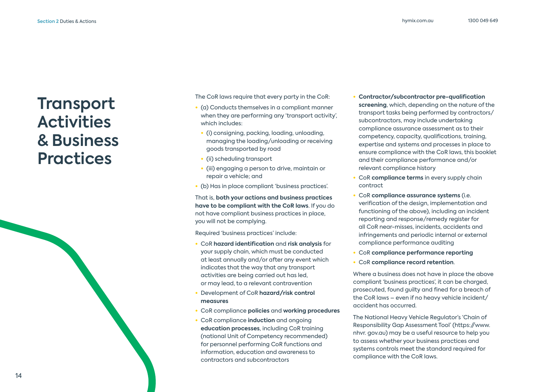## **Transport Activities & Business Practices**

The CoR laws require that every party in the CoR:

- **•** (a) Conducts themselves in a compliant manner when they are performing any 'transport activity', which includes:
- **•** (i) consigning, packing, loading, unloading, managing the loading/unloading or receiving goods transported by road
- **•** (ii) scheduling transport
- **•** (iii) engaging a person to drive, maintain or repair a vehicle; and
- **•** (b) Has in place compliant 'business practices'.

That is, **both your actions and business practices have to be compliant with the CoR laws**. If you do not have compliant business practices in place, you will not be complying.

Required 'business practices' include:

- **•** CoR **hazard identification** and **risk analysis** for your supply chain, which must be conducted at least annually and/or after any event which indicates that the way that any transport activities are being carried out has led, or may lead, to a relevant contravention
- **•** Development of CoR **hazard/risk control measures**
- **•** CoR compliance **policies** and **working procedures**
- **•** CoR compliance **induction** and ongoing **education processes**, including CoR training (national Unit of Competency recommended) for personnel performing CoR functions and information, education and awareness to contractors and subcontractors
- **• Contractor/subcontractor pre-qualification screening**, which, depending on the nature of the transport tasks being performed by contractors/ subcontractors, may include undertaking compliance assurance assessment as to their competency, capacity, qualifications, training, expertise and systems and processes in place to ensure compliance with the CoR laws, this booklet and their compliance performance and/or relevant compliance history
- **•** CoR **compliance terms** in every supply chain contract
- **•** CoR **compliance assurance systems** (i.e. verification of the design, implementation and functioning of the above), including an incident reporting and response/remedy register for all CoR near-misses, incidents, accidents and infringements and periodic internal or external compliance performance auditing
- **•** CoR **compliance performance reporting**
- **•** CoR **compliance record retention**.

Where a business does not have in place the above compliant 'business practices', it can be charged, prosecuted, found guilty and fined for a breach of the CoR laws – even if no heavy vehicle incident/ accident has occurred.

The National Heavy Vehicle Regulator's 'Chain of Responsibility Gap Assessment Tool' (https://www. nhvr. gov.au) may be a useful resource to help you to assess whether your business practices and systems controls meet the standard required for compliance with the CoR laws.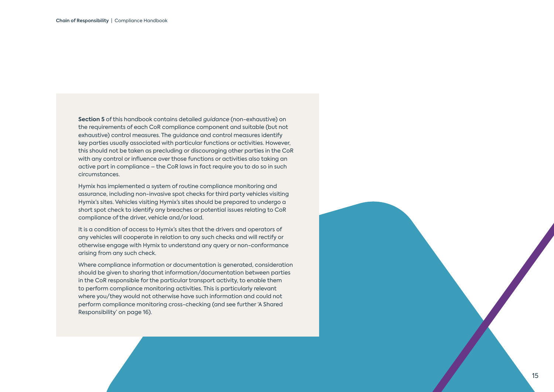**Section 5** of this handbook contains detailed *guidance* (non-exhaustive) on the requirements of each CoR compliance component and suitable (but not exhaustive) control measures. The guidance and control measures identify key parties usually associated with particular functions or activities. However, this should not be taken as precluding or discouraging other parties in the CoR with any control or influence over those functions or activities also taking an active part in compliance – the CoR laws in fact require you to do so in such circumstances.

Hymix has implemented a system of routine compliance monitoring and assurance, including non-invasive spot checks for third party vehicles visiting Hymix's sites. Vehicles visiting Hymix's sites should be prepared to undergo a short spot check to identify any breaches or potential issues relating to CoR compliance of the driver, vehicle and/or load.

It is a condition of access to Hymix's sites that the drivers and operators of any vehicles will cooperate in relation to any such checks and will rectify or otherwise engage with Hymix to understand any query or non-conformance arising from any such check.

Where compliance information or documentation is generated, consideration should be given to sharing that information/documentation between parties in the CoR responsible for the particular transport activity, to enable them to perform compliance monitoring activities. This is particularly relevant where you/they would not otherwise have such information and could not perform compliance monitoring cross-checking (and see further 'A Shared Responsibility' on page 16).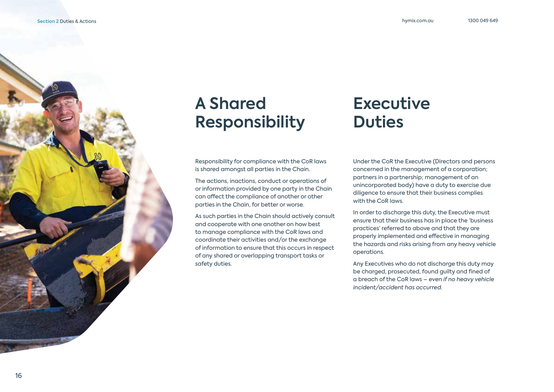## **A Shared Responsibility**

Responsibility for compliance with the CoR laws is shared amongst all parties in the Chain.

The actions, inactions, conduct or operations of or information provided by one party in the Chain can affect the compliance of another or other parties in the Chain, for better or worse.

As such parties in the Chain should actively consult and cooperate with one another on how best to manage compliance with the CoR laws and coordinate their activities and/or the exchange of information to ensure that this occurs in respect of any shared or overlapping transport tasks or safety duties.

## **Executive Duties**

Under the CoR the Executive (Directors and persons concerned in the management of a corporation; partners in a partnership; management of an unincorporated body) have a duty to exercise due diligence to ensure that their business complies with the CoR laws.

In order to discharge this duty, the Executive must ensure that their business has in place the 'business practices' referred to above and that they are properly implemented and effective in managing the hazards and risks arising from any heavy vehicle operations.

Any Executives who do not discharge this duty may be charged, prosecuted, found guilty and fined of a breach of the CoR laws – *even if no heavy vehicle incident/accident has occurred*.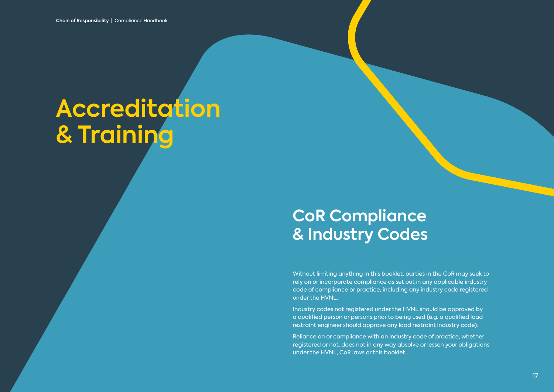# **Accreditation & Training**

## **CoR Compliance & Industry Codes**

Without limiting anything in this booklet, parties in the CoR may seek to rely on or incorporate compliance as set out in any applicable industry code of compliance or practice, including any industry code registered under the HVNL.

Industry codes not registered under the HVNL should be approved by a qualified person or persons prior to being used (e.g. a qualified load restraint engineer should approve any load restraint industry code).

Reliance on or compliance with an industry code of practice, whether registered or not, does not in any way absolve or lessen your obligations under the HVNL, CoR laws or this booklet.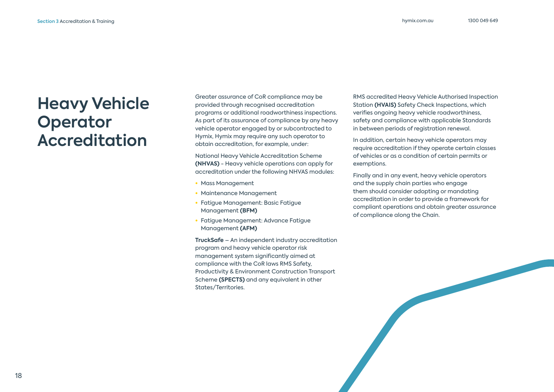## **Heavy Vehicle Operator Accreditation**

Greater assurance of CoR compliance may be provided through recognised accreditation programs or additional roadworthiness inspections. As part of its assurance of compliance by any heavy vehicle operator engaged by or subcontracted to Hymix, Hymix may require any such operator to obtain accreditation, for example, under:

National Heavy Vehicle Accreditation Scheme **(NHVAS)** - Heavy vehicle operations can apply for accreditation under the following NHVAS modules:

- **•** Mass Management
- **•** Maintenance Management
- **•** Fatigue Management: Basic Fatigue Management **(BFM)**
- **•** Fatigue Management: Advance Fatigue Management **(AFM)**

**TruckSafe** – An independent industry accreditation program and heavy vehicle operator risk management system significantly aimed at compliance with the CoR laws RMS Safety, Productivity & Environment Construction Transport Scheme **(SPECTS)** and any equivalent in other States/Territories.

RMS accredited Heavy Vehicle Authorised Inspection Station **(HVAIS)** Safety Check Inspections, which verifies ongoing heavy vehicle roadworthiness, safety and compliance with applicable Standards in between periods of registration renewal.

In addition, certain heavy vehicle operators may require accreditation if they operate certain classes of vehicles or as a condition of certain permits or exemptions.

Finally and in any event, heavy vehicle operators and the supply chain parties who engage them should consider adopting or mandating accreditation in order to provide a framework for compliant operations and obtain greater assurance of compliance along the Chain.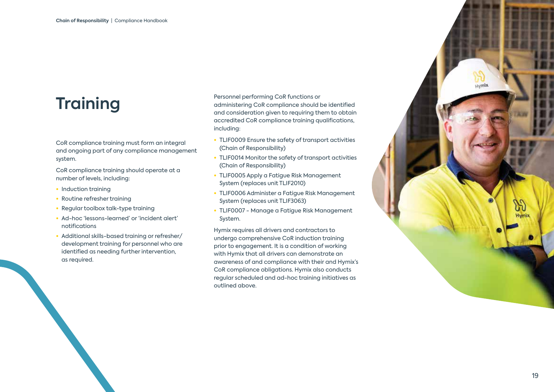## **Training**

CoR compliance training must form an integral and ongoing part of any compliance management system.

CoR compliance training should operate at a number of levels, including:

- **•** Induction training
- **•** Routine refresher training
- **•** Regular toolbox talk-type training
- **•** Ad-hoc 'lessons-learned' or 'incident alert' notifications
- **•** Additional skills-based training or refresher/ development training for personnel who are identified as needing further intervention, as required.

Personnel performing CoR functions or administering CoR compliance should be identified and consideration given to requiring them to obtain accredited CoR compliance training qualifications, including:

- **•** TLIF0009 Ensure the safety of transport activities (Chain of Responsibility)
- **•** TLIF0014 Monitor the safety of transport activities (Chain of Responsibility)
- **•** TLIF0005 Apply a Fatigue Risk Management System (replaces unit TLIF2010)
- **•** TLIF0006 Administer a Fatigue Risk Management System (replaces unit TLIF3063)
- **•** TLIF0007 Manage a Fatigue Risk Management System.

Hymix requires all drivers and contractors to undergo comprehensive CoR induction training prior to engagement. It is a condition of working with Hymix that all drivers can demonstrate an awareness of and compliance with their and Hymix's CoR compliance obligations. Hymix also conducts regular scheduled and ad-hoc training initiatives as outlined above.

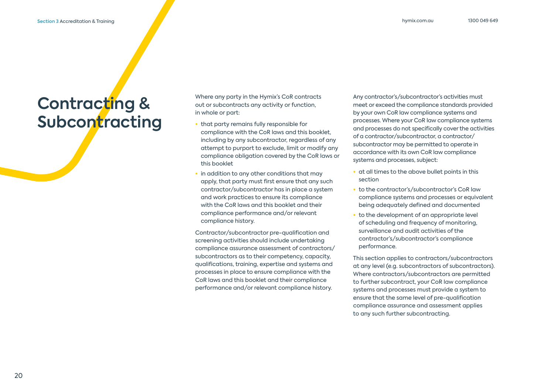## **Contracting & Subcontracting**

Where any party in the Hymix's CoR contracts out or subcontracts any activity or function, in whole or part:

- **•** that party remains fully responsible for compliance with the CoR laws and this booklet, including by any subcontractor, regardless of any attempt to purport to exclude, limit or modify any compliance obligation covered by the CoR laws or this booklet
- **•** in addition to any other conditions that may apply, that party must first ensure that any such contractor/subcontractor has in place a system and work practices to ensure its compliance with the CoR laws and this booklet and their compliance performance and/or relevant compliance history.

Contractor/subcontractor pre-qualification and screening activities should include undertaking compliance assurance assessment of contractors/ subcontractors as to their competency, capacity, qualifications, training, expertise and systems and processes in place to ensure compliance with the CoR laws and this booklet and their compliance performance and/or relevant compliance history.

Any contractor's/subcontractor's activities must meet or exceed the compliance standards provided by your own CoR law compliance systems and processes. Where your CoR law compliance systems and processes do not specifically cover the activities of a contractor/subcontractor, a contractor/ subcontractor may be permitted to operate in accordance with its own CoR law compliance systems and processes, subject:

- **•** at all times to the above bullet points in this section
- **•** to the contractor's/subcontractor's CoR law compliance systems and processes or equivalent being adequately defined and documented
- **•** to the development of an appropriate level of scheduling and frequency of monitoring, surveillance and audit activities of the contractor's/subcontractor's compliance performance.

This section applies to contractors/subcontractors at any level (e.g. subcontractors of subcontractors). Where contractors/subcontractors are permitted to further subcontract, your CoR law compliance systems and processes must provide a system to ensure that the same level of pre-qualification compliance assurance and assessment applies to any such further subcontracting.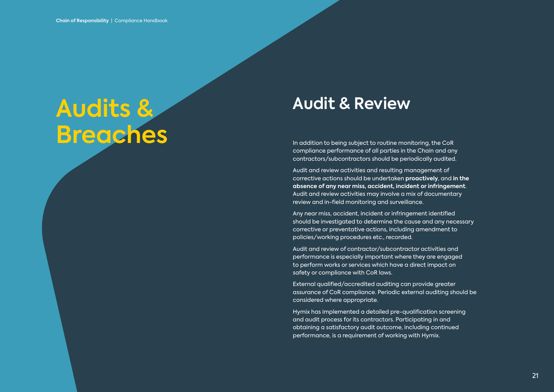## **Audits & Breaches**

## **Audit & Review**

In addition to being subject to routine monitoring, the CoR compliance performance of all parties in the Chain and any contractors/subcontractors should be periodically audited.

Audit and review activities and resulting management of corrective actions should be undertaken **proactively**, and **in the absence of any near miss, accident, incident or infringement**. Audit and review activities may involve a mix of documentary review and in-field monitoring and surveillance.

Any near miss, accident, incident or infringement identified should be investigated to determine the cause and any necessary corrective or preventative actions, including amendment to policies/working procedures etc., recorded.

Audit and review of contractor/subcontractor activities and performance is especially important where they are engaged to perform works or services which have a direct impact on safety or compliance with CoR laws.

External qualified/accredited auditing can provide greater assurance of CoR compliance. Periodic external auditing should be considered where appropriate.

Hymix has implemented a detailed pre-qualification screening and audit process for its contractors. Participating in and obtaining a satisfactory audit outcome, including continued performance, is a requirement of working with Hymix.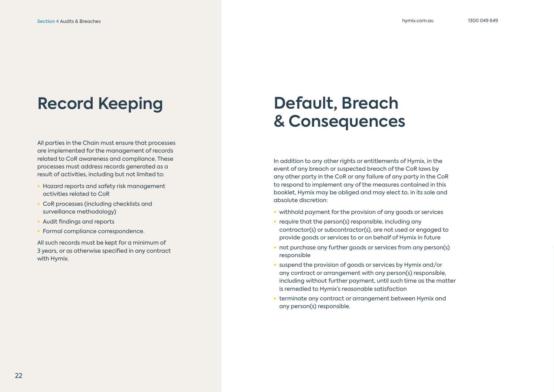## **Record Keeping**

All parties in the Chain must ensure that processes are implemented for the management of records related to CoR awareness and compliance. These processes must address records generated as a result of activities, including but not limited to:

- **•** Hazard reports and safety risk management activities related to CoR
- **•** CoR processes (including checklists and surveillance methodology)
- **•** Audit findings and reports
- **•** Formal compliance correspondence.

All such records must be kept for a minimum of 3 years, or as otherwise specified in any contract with Hymix.

## **Default, Breach & Consequences**

In addition to any other rights or entitlements of Hymix, in the event of any breach or suspected breach of the CoR laws by any other party in the CoR or any failure of any party in the CoR to respond to implement any of the measures contained in this booklet, Hymix may be obliged and may elect to, in its sole and absolute discretion:

- **•** withhold payment for the provision of any goods or services
- **•** require that the person(s) responsible, including any contractor(s) or subcontractor(s), are not used or engaged to provide goods or services to or on behalf of Hymix in future
- **•** not purchase any further goods or services from any person(s) responsible
- **•** suspend the provision of goods or services by Hymix and/or any contract or arrangement with any person(s) responsible, including without further payment, until such time as the matter is remedied to Hymix's reasonable satisfaction
- **•** terminate any contract or arrangement between Hymix and any person(s) responsible.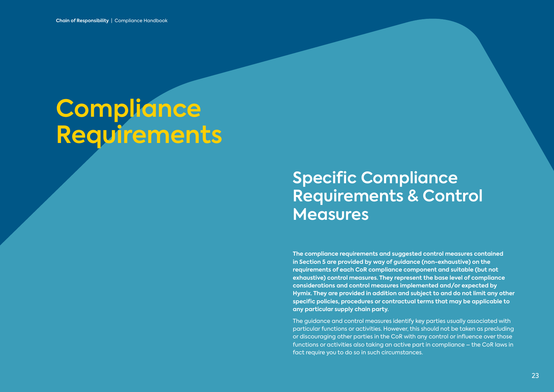## **Compliance Requirements**

## **Specific Compliance Requirements & Control Measures**

**The compliance requirements and suggested control measures contained in Section 5 are provided by way of guidance (non-exhaustive) on the requirements of each CoR compliance component and suitable (but not exhaustive) control measures. They represent the base level of compliance considerations and control measures implemented and/or expected by Hymix. They are provided in addition and subject to and do not limit any other specific policies, procedures or contractual terms that may be applicable to any particular supply chain party.**

The guidance and control measures identify key parties usually associated with particular functions or activities. However, this should not be taken as precluding or discouraging other parties in the CoR with any control or influence over those functions or activities also taking an active part in compliance – the CoR laws in fact require you to do so in such circumstances.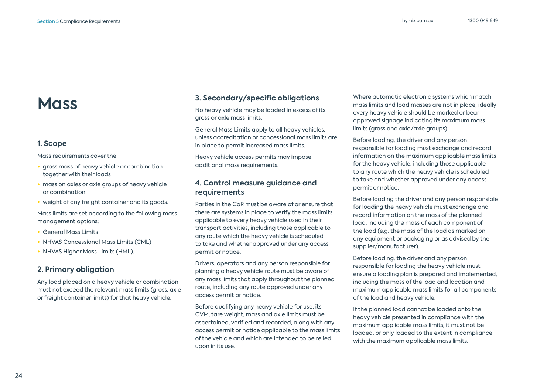## **Mass**

#### **1. Scope**

Mass requirements cover the:

- **•** gross mass of heavy vehicle or combination together with their loads
- **•** mass on axles or axle groups of heavy vehicle or combination
- **•** weight of any freight container and its goods.

Mass limits are set according to the following mass management options:

- **•** General Mass Limits
- **•** NHVAS Concessional Mass Limits (CML)
- **•** NHVAS Higher Mass Limits (HML).

#### **2. Primary obligation**

Any load placed on a heavy vehicle or combination must not exceed the relevant mass limits (gross, axle or freight container limits) for that heavy vehicle.

#### **3. Secondary/specific obligations**

No heavy vehicle may be loaded in excess of its gross or axle mass limits.

General Mass Limits apply to all heavy vehicles, unless accreditation or concessional mass limits are in place to permit increased mass limits.

Heavy vehicle access permits may impose additional mass requirements.

#### **4. Control measure guidance and requirements**

Parties in the CoR must be aware of or ensure that there are systems in place to verify the mass limits applicable to every heavy vehicle used in their transport activities, including those applicable to any route which the heavy vehicle is scheduled to take and whether approved under any access permit or notice.

Drivers, operators and any person responsible for planning a heavy vehicle route must be aware of any mass limits that apply throughout the planned route, including any route approved under any access permit or notice.

Before qualifying any heavy vehicle for use, its GVM, tare weight, mass and axle limits must be ascertained, verified and recorded, along with any access permit or notice applicable to the mass limits of the vehicle and which are intended to be relied upon in its use.

Where automatic electronic systems which match mass limits and load masses are not in place, ideally every heavy vehicle should be marked or bear approved signage indicating its maximum mass limits (gross and axle/axle groups).

Before loading, the driver and any person responsible for loading must exchange and record information on the maximum applicable mass limits for the heavy vehicle, including those applicable to any route which the heavy vehicle is scheduled to take and whether approved under any access permit or notice.

Before loading the driver and any person responsible for loading the heavy vehicle must exchange and record information on the mass of the planned load, including the mass of each component of the load (e.g. the mass of the load as marked on any equipment or packaging or as advised by the supplier/manufacturer).

Before loading, the driver and any person responsible for loading the heavy vehicle must ensure a loading plan is prepared and implemented, including the mass of the load and location and maximum applicable mass limits for all components of the load and heavy vehicle.

If the planned load cannot be loaded onto the heavy vehicle presented in compliance with the maximum applicable mass limits, it must not be loaded, or only loaded to the extent in compliance with the maximum applicable mass limits.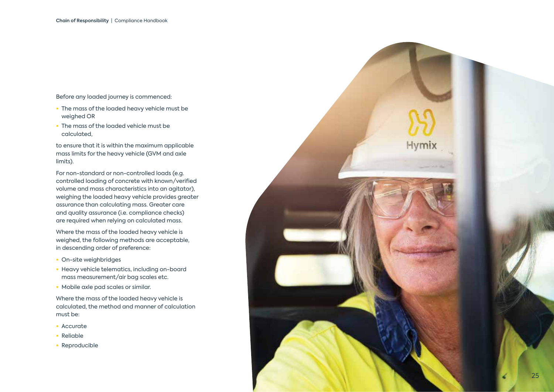Before any loaded journey is commenced:

- **•** The mass of the loaded heavy vehicle must be weighed OR
- **•** The mass of the loaded vehicle must be calculated,

to ensure that it is within the maximum applicable mass limits for the heavy vehicle (GVM and axle limits).

For non-standard or non-controlled loads (e.g. controlled loading of concrete with known/verified volume and mass characteristics into an agitator), weighing the loaded heavy vehicle provides greater assurance than calculating mass. Greater care and quality assurance (i.e. compliance checks) are required when relying on calculated mass.

Where the mass of the loaded heavy vehicle is weighed, the following methods are acceptable, in descending order of preference:

- **•** On-site weighbridges
- **•** Heavy vehicle telematics, including on-board mass measurement/air bag scales etc.
- **•** Mobile axle pad scales or similar.

Where the mass of the loaded heavy vehicle is calculated, the method and manner of calculation must be:

25

Hymix

- **•** Accurate
- **•** Reliable
- **•** Reproducible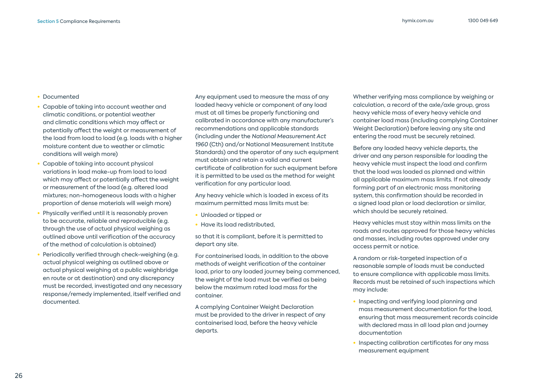#### **•** Documented

- **•** Capable of taking into account weather and climatic conditions, or potential weather and climatic conditions which may affect or potentially affect the weight or measurement of the load from load to load (e.g. loads with a higher moisture content due to weather or climatic conditions will weigh more)
- **•** Capable of taking into account physical variations in load make-up from load to load which may affect or potentially affect the weight or measurement of the load (e.g. altered load mixtures; non-homogeneous loads with a higher proportion of dense materials will weigh more)
- **•** Physically verified until it is reasonably proven to be accurate, reliable and reproducible (e.g. through the use of actual physical weighing as outlined above until verification of the accuracy of the method of calculation is obtained)
- **•** Periodically verified through check-weighing (e.g. actual physical weighing as outlined above or actual physical weighing at a public weighbridge en route or at destination) and any discrepancy must be recorded, investigated and any necessary response/remedy implemented, itself verified and documented.

Any equipment used to measure the mass of any loaded heavy vehicle or component of any load must at all times be properly functioning and calibrated in accordance with any manufacturer's recommendations and applicable standards (including under the *National Measurement Act 1960* (Cth) and/or National Measurement Institute Standards) and the operator of any such equipment must obtain and retain a valid and current certificate of calibration for such equipment before it is permitted to be used as the method for weight verification for any particular load.

Any heavy vehicle which is loaded in excess of its maximum permitted mass limits must be:

- **•** Unloaded or tipped or
- **•** Have its load redistributed,

so that it is compliant, before it is permitted to depart any site.

For containerised loads, in addition to the above methods of weight verification of the container load, prior to any loaded journey being commenced, the weight of the load must be verified as being below the maximum rated load mass for the container.

A complying Container Weight Declaration must be provided to the driver in respect of any containerised load, before the heavy vehicle departs.

Whether verifying mass compliance by weighing or calculation, a record of the axle/axle group, gross heavy vehicle mass of every heavy vehicle and container load mass (including complying Container Weight Declaration) before leaving any site and entering the road must be securely retained.

Before any loaded heavy vehicle departs, the driver and any person responsible for loading the heavy vehicle must inspect the load and confirm that the load was loaded as planned and within all applicable maximum mass limits. If not already forming part of an electronic mass monitoring system, this confirmation should be recorded in a signed load plan or load declaration or similar, which should be securely retained.

Heavy vehicles must stay within mass limits on the roads and routes approved for those heavy vehicles and masses, including routes approved under any access permit or notice.

A random or risk-targeted inspection of a reasonable sample of loads must be conducted to ensure compliance with applicable mass limits. Records must be retained of such inspections which may include:

- **•** Inspecting and verifying load planning and mass measurement documentation for the load, ensuring that mass measurement records coincide with declared mass in all load plan and journey documentation
- **•** Inspecting calibration certificates for any mass measurement equipment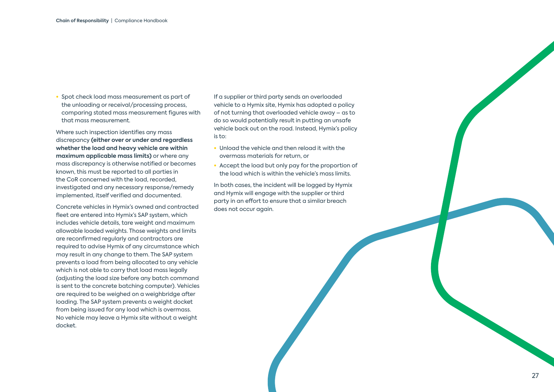**•** Spot check load mass measurement as part of the unloading or receival/processing process, comparing stated mass measurement figures with that mass measurement.

Where such inspection identifies any mass discrepancy **(either over or under and regardless whether the load and heavy vehicle are within maximum applicable mass limits)** or where any mass discrepancy is otherwise notified or becomes known, this must be reported to all parties in the CoR concerned with the load, recorded, investigated and any necessary response/remedy implemented, itself verified and documented.

Concrete vehicles in Hymix's owned and contracted fleet are entered into Hymix's SAP system, which includes vehicle details, tare weight and maximum allowable loaded weights. Those weights and limits are reconfirmed regularly and contractors are required to advise Hymix of any circumstance which may result in any change to them. The SAP system prevents a load from being allocated to any vehicle which is not able to carry that load mass legally (adjusting the load size before any batch command is sent to the concrete batching computer). Vehicles are required to be weighed on a weighbridge after loading. The SAP system prevents a weight docket from being issued for any load which is overmass. No vehicle may leave a Hymix site without a weight docket.

If a supplier or third party sends an overloaded vehicle to a Hymix site, Hymix has adopted a policy of not turning that overloaded vehicle away – as to do so would potentially result in putting an unsafe vehicle back out on the road. Instead, Hymix's policy is to:

- **•** Unload the vehicle and then reload it with the overmass materials for return, or
- **•** Accept the load but only pay for the proportion of the load which is within the vehicle's mass limits.

In both cases, the incident will be logged by Hymix and Hymix will engage with the supplier or third party in an effort to ensure that a similar breach does not occur again.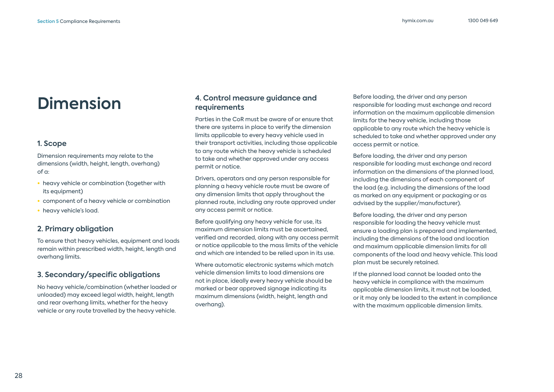## **Dimension**

### **1. Scope**

Dimension requirements may relate to the dimensions (width, height, length, overhang) of a:

- **•** heavy vehicle or combination (together with its equipment)
- **•** component of a heavy vehicle or combination
- **•** heavy vehicle's load.

#### **2. Primary obligation**

To ensure that heavy vehicles, equipment and loads remain within prescribed width, height, length and overhang limits.

#### **3. Secondary/specific obligations**

No heavy vehicle/combination (whether loaded or unloaded) may exceed legal width, height, length and rear overhang limits, whether for the heavy vehicle or any route travelled by the heavy vehicle.

#### **4. Control measure guidance and requirements**

Parties in the CoR must be aware of or ensure that there are systems in place to verify the dimension limits applicable to every heavy vehicle used in their transport activities, including those applicable to any route which the heavy vehicle is scheduled to take and whether approved under any access permit or notice.

Drivers, operators and any person responsible for planning a heavy vehicle route must be aware of any dimension limits that apply throughout the planned route, including any route approved under any access permit or notice.

Before qualifying any heavy vehicle for use, its maximum dimension limits must be ascertained, verified and recorded, along with any access permit or notice applicable to the mass limits of the vehicle and which are intended to be relied upon in its use.

Where automatic electronic systems which match vehicle dimension limits to load dimensions are not in place, ideally every heavy vehicle should be marked or bear approved signage indicating its maximum dimensions (width, height, length and overhang).

Before loading, the driver and any person responsible for loading must exchange and record information on the maximum applicable dimension limits for the heavy vehicle, including those applicable to any route which the heavy vehicle is scheduled to take and whether approved under any access permit or notice.

Before loading, the driver and any person responsible for loading must exchange and record information on the dimensions of the planned load, including the dimensions of each component of the load (e.g. including the dimensions of the load as marked on any equipment or packaging or as advised by the supplier/manufacturer).

Before loading, the driver and any person responsible for loading the heavy vehicle must ensure a loading plan is prepared and implemented, including the dimensions of the load and location and maximum applicable dimension limits for all components of the load and heavy vehicle. This load plan must be securely retained.

If the planned load cannot be loaded onto the heavy vehicle in compliance with the maximum applicable dimension limits, it must not be loaded, or it may only be loaded to the extent in compliance with the maximum applicable dimension limits.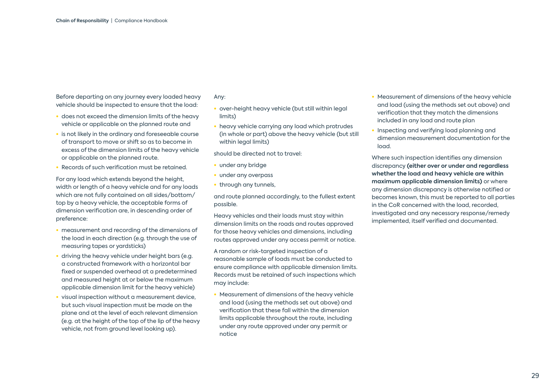Before departing on any journey every loaded heavy vehicle should be inspected to ensure that the load:

- **•** does not exceed the dimension limits of the heavy vehicle or applicable on the planned route and
- **•** is not likely in the ordinary and foreseeable course of transport to move or shift so as to become in excess of the dimension limits of the heavy vehicle or applicable on the planned route.
- **•** Records of such verification must be retained.

For any load which extends beyond the height, width or length of a heavy vehicle and for any loads which are not fully contained on all sides/bottom/ top by a heavy vehicle, the acceptable forms of dimension verification are, in descending order of preference:

- **•** measurement and recording of the dimensions of the load in each direction (e.g. through the use of measuring tapes or yardsticks)
- **•** driving the heavy vehicle under height bars (e.g. a constructed framework with a horizontal bar fixed or suspended overhead at a predetermined and measured height at or below the maximum applicable dimension limit for the heavy vehicle)
- **•** visual inspection without a measurement device, but such visual inspection must be made on the plane and at the level of each relevant dimension (e.g. at the height of the top of the lip of the heavy vehicle, not from ground level looking up).

Any:

- **•** over-height heavy vehicle (but still within legal limits)
- **•** heavy vehicle carrying any load which protrudes (in whole or part) above the heavy vehicle (but still within legal limits)

should be directed not to travel:

- **•** under any bridge
- **•** under any overpass
- **•** through any tunnels,

and route planned accordingly, to the fullest extent possible.

Heavy vehicles and their loads must stay within dimension limits on the roads and routes approved for those heavy vehicles and dimensions, including routes approved under any access permit or notice.

A random or risk-targeted inspection of a reasonable sample of loads must be conducted to ensure compliance with applicable dimension limits. Records must be retained of such inspections which may include:

**•** Measurement of dimensions of the heavy vehicle and load (using the methods set out above) and verification that these fall within the dimension limits applicable throughout the route, including under any route approved under any permit or notice

- **•** Measurement of dimensions of the heavy vehicle and load (using the methods set out above) and verification that they match the dimensions included in any load and route plan
- **•** Inspecting and verifying load planning and dimension measurement documentation for the load.

Where such inspection identifies any dimension discrepancy **(either over or under and regardless whether the load and heavy vehicle are within maximum applicable dimension limits)** or where any dimension discrepancy is otherwise notified or becomes known, this must be reported to all parties in the CoR concerned with the load, recorded, investigated and any necessary response/remedy implemented, itself verified and documented.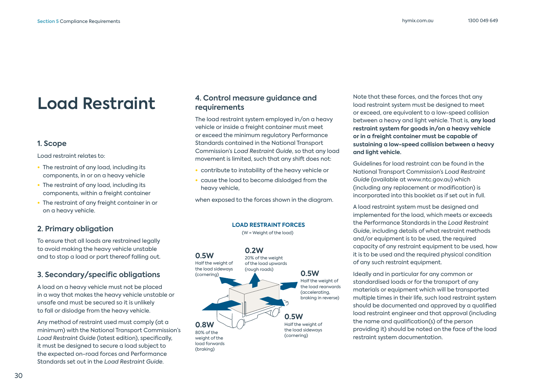## **Load Restraint**

#### **1. Scope**

Load restraint relates to:

- **•** The restraint of any load, including its components, in or on a heavy vehicle
- **•** The restraint of any load, including its components, within a freight container
- **•** The restraint of any freight container in or on a heavy vehicle.

#### **2. Primary obligation**

To ensure that all loads are restrained legally to avoid making the heavy vehicle unstable and to stop a load or part thereof falling out.

#### **3. Secondary/specific obligations**

A load on a heavy vehicle must not be placed in a way that makes the heavy vehicle unstable or unsafe and must be secured so it is unlikely to fall or dislodge from the heavy vehicle.

Any method of restraint used must comply (at a minimum) with the National Transport Commission's *Load Restraint Guide* (latest edition), specifically, it must be designed to secure a load subject to the expected on-road forces and Performance Standards set out in the *Load Restraint Guide*.

#### **4. Control measure guidance and requirements**

The load restraint system employed in/on a heavy vehicle or inside a freight container must meet or exceed the minimum regulatory Performance Standards contained in the National Transport Commission's *Load Restraint Guide*, so that any load movement is limited, such that any shift does not:

- **•** contribute to instability of the heavy vehicle or
- **•** cause the load to become dislodged from the heavy vehicle,

when exposed to the forces shown in the diagram.

#### **LOAD RESTRAINT FORCES**

(W = Weight of the load)



Note that these forces, and the forces that any load restraint system must be designed to meet or exceed, are equivalent to a low-speed collision between a heavy and light vehicle. That is, **any load restraint system for goods in/on a heavy vehicle or in a freight container must be capable of sustaining a low-speed collision between a heavy and light vehicle.**

Guidelines for load restraint can be found in the National Transport Commission's *Load Restraint Guide* (available at www.ntc.gov.au) which (including any replacement or modification) is incorporated into this booklet as if set out in full.

A load restraint system must be designed and implemented for the load, which meets or exceeds the Performance Standards in the *Load Restraint Guide*, including details of what restraint methods and/or equipment is to be used, the required capacity of any restraint equipment to be used, how it is to be used and the required physical condition of any such restraint equipment.

Ideally and in particular for any common or standardised loads or for the transport of any materials or equipment which will be transported multiple times in their life, such load restraint system should be documented and approved by a qualified load restraint engineer and that approval (including the name and qualification(s) of the person providing it) should be noted on the face of the load restraint system documentation.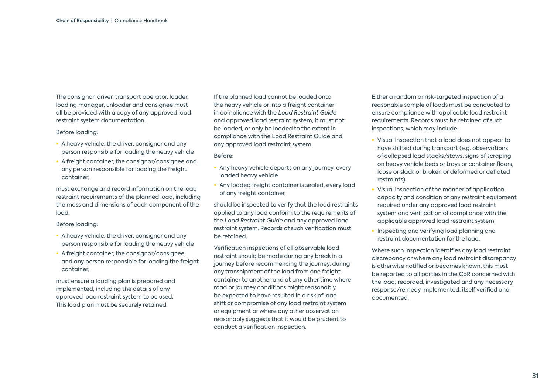The consignor, driver, transport operator, loader, loading manager, unloader and consignee must all be provided with a copy of any approved load restraint system documentation.

#### Before loading:

- **•** A heavy vehicle, the driver, consignor and any person responsible for loading the heavy vehicle
- **•** A freight container, the consignor/consignee and any person responsible for loading the freight container,

must exchange and record information on the load restraint requirements of the planned load, including the mass and dimensions of each component of the load.

#### Before loading:

- **•** A heavy vehicle, the driver, consignor and any person responsible for loading the heavy vehicle
- **•** A freight container, the consignor/consignee and any person responsible for loading the freight container,

must ensure a loading plan is prepared and implemented, including the details of any approved load restraint system to be used. This load plan must be securely retained.

If the planned load cannot be loaded onto the heavy vehicle or into a freight container in compliance with the *Load Restraint Guide*  and approved load restraint system, it must not be loaded, or only be loaded to the extent in compliance with the Load Restraint Guide and any approved load restraint system.

Before:

- **•** Any heavy vehicle departs on any journey, every loaded heavy vehicle
- **•** Any loaded freight container is sealed, every load of any freight container,

should be inspected to verify that the load restraints applied to any load conform to the requirements of the *Load Restraint Guide* and any approved load restraint system. Records of such verification must be retained.

Verification inspections of all observable load restraint should be made during any break in a journey before recommencing the journey, during any transhipment of the load from one freight container to another and at any other time where road or journey conditions might reasonably be expected to have resulted in a risk of load shift or compromise of any load restraint system or equipment or where any other observation reasonably suggests that it would be prudent to conduct a verification inspection.

Either a random or risk-targeted inspection of a reasonable sample of loads must be conducted to ensure compliance with applicable load restraint requirements. Records must be retained of such inspections, which may include:

- **•** Visual inspection that a load does not appear to have shifted during transport (e.g. observations of collapsed load stacks/stows, signs of scraping on heavy vehicle beds or trays or container floors, loose or slack or broken or deformed or deflated restraints)
- **•** Visual inspection of the manner of application, capacity and condition of any restraint equipment required under any approved load restraint system and verification of compliance with the applicable approved load restraint system
- **•** Inspecting and verifying load planning and restraint documentation for the load.

Where such inspection identifies any load restraint discrepancy or where any load restraint discrepancy is otherwise notified or becomes known, this must be reported to all parties in the CoR concerned with the load, recorded, investigated and any necessary response/remedy implemented, itself verified and documented.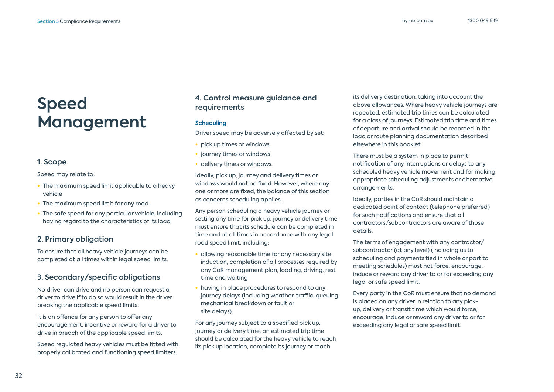## **Speed Management**

#### **1. Scope**

Speed may relate to:

- **•** The maximum speed limit applicable to a heavy vehicle
- **•** The maximum speed limit for any road
- **•** The safe speed for any particular vehicle, including having regard to the characteristics of its load.

#### **2. Primary obligation**

To ensure that all heavy vehicle journeys can be completed at all times within legal speed limits.

#### **3. Secondary/specific obligations**

No driver can drive and no person can request a driver to drive if to do so would result in the driver breaking the applicable speed limits.

It is an offence for any person to offer any encouragement, incentive or reward for a driver to drive in breach of the applicable speed limits.

Speed regulated heavy vehicles must be fitted with properly calibrated and functioning speed limiters.

#### **4. Control measure guidance and requirements**

#### **Scheduling**

Driver speed may be adversely affected by set:

- **•** pick up times or windows
- **•** journey times or windows
- **•** delivery times or windows.

Ideally, pick up, journey and delivery times or windows would not be fixed. However, where any one or more are fixed, the balance of this section as concerns scheduling applies.

Any person scheduling a heavy vehicle journey or setting any time for pick up, journey or delivery time must ensure that its schedule can be completed in time and at all times in accordance with any legal road speed limit, including:

- **•** allowing reasonable time for any necessary site induction, completion of all processes required by any CoR management plan, loading, driving, rest time and waiting
- **•** having in place procedures to respond to any journey delays (including weather, traffic, queuing, mechanical breakdown or fault or site delays).

For any journey subject to a specified pick up, journey or delivery time, an estimated trip time should be calculated for the heavy vehicle to reach its pick up location, complete its journey or reach

its delivery destination, taking into account the above allowances. Where heavy vehicle journeys are repeated, estimated trip times can be calculated for a class of journeys. Estimated trip time and times of departure and arrival should be recorded in the load or route planning documentation described elsewhere in this booklet.

There must be a system in place to permit notification of any interruptions or delays to any scheduled heavy vehicle movement and for making appropriate scheduling adjustments or alternative arrangements.

Ideally, parties in the CoR should maintain a dedicated point of contact (telephone preferred) for such notifications and ensure that all contractors/subcontractors are aware of those details.

The terms of engagement with any contractor/ subcontractor (at any level) (including as to scheduling and payments tied in whole or part to meeting schedules) must not force, encourage, induce or reward any driver to or for exceeding any legal or safe speed limit.

Every party in the CoR must ensure that no demand is placed on any driver in relation to any pickup, delivery or transit time which would force, encourage, induce or reward any driver to or for exceeding any legal or safe speed limit.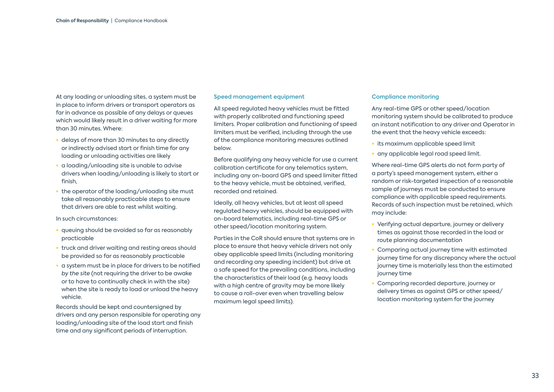At any loading or unloading sites, a system must be in place to inform drivers or transport operators as far in advance as possible of any delays or queues which would likely result in a driver waiting for more than 30 minutes. Where:

- **•** delays of more than 30 minutes to any directly or indirectly advised start or finish time for any loading or unloading activities are likely
- **•** a loading/unloading site is unable to advise drivers when loading/unloading is likely to start or finish,
- **•** the operator of the loading/unloading site must take all reasonably practicable steps to ensure that drivers are able to rest whilst waiting.

#### In such circumstances:

- **•** queuing should be avoided so far as reasonably practicable
- **•** truck and driver waiting and resting areas should be provided so far as reasonably practicable
- **•** a system must be in place for drivers to be notified *by the site* (not requiring the driver to be awake or to have to continually check in with the site) when the site is ready to load or unload the heavy vehicle.

Records should be kept and countersigned by drivers and any person responsible for operating any loading/unloading site of the load start and finish time and any significant periods of interruption.

#### **Speed management equipment**

All speed regulated heavy vehicles must be fitted with properly calibrated and functioning speed limiters. Proper calibration and functioning of speed limiters must be verified, including through the use of the compliance monitoring measures outlined below.

Before qualifying any heavy vehicle for use a current calibration certificate for any telematics system, including any on-board GPS and speed limiter fitted to the heavy vehicle, must be obtained, verified, recorded and retained.

Ideally, all heavy vehicles, but at least all speed regulated heavy vehicles, should be equipped with on-board telematics, including real-time GPS or other speed/location monitoring system.

Parties in the CoR should ensure that systems are in place to ensure that heavy vehicle drivers not only obey applicable speed limits (including monitoring and recording any speeding incident) but drive at a safe speed for the prevailing conditions, including the characteristics of their load (e.g. heavy loads with a high centre of gravity may be more likely to cause a roll-over even when travelling below maximum legal speed limits).

#### **Compliance monitoring**

Any real-time GPS or other speed/location monitoring system should be calibrated to produce an instant notification to any driver and Operator in the event that the heavy vehicle exceeds:

- **•** its maximum applicable speed limit
- **•** any applicable legal road speed limit.

Where real-time GPS alerts do not form party of a party's speed management system, either a random or risk-targeted inspection of a reasonable sample of journeys must be conducted to ensure compliance with applicable speed requirements. Records of such inspection must be retained, which may include:

- **•** Verifying actual departure, journey or delivery times as against those recorded in the load or route planning documentation
- **•** Comparing actual journey time with estimated journey time for any discrepancy where the actual journey time is materially less than the estimated journey time
- **•** Comparing recorded departure, journey or delivery times as against GPS or other speed/ location monitoring system for the journey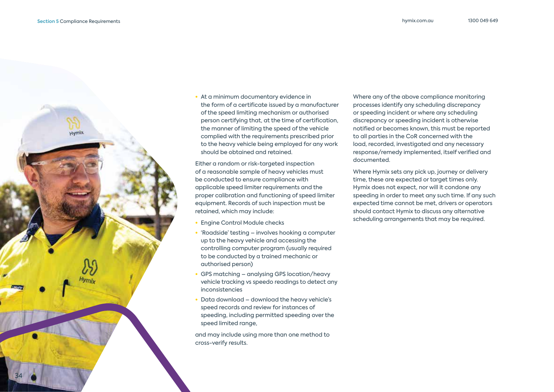

**•** At a minimum documentary evidence in the form of a certificate issued by a manufacturer of the speed limiting mechanism or authorised person certifying that, at the time of certification, the manner of limiting the speed of the vehicle complied with the requirements prescribed prior to the heavy vehicle being employed for any work should be obtained and retained.

Either a random or risk-targeted inspection of a reasonable sample of heavy vehicles must be conducted to ensure compliance with applicable speed limiter requirements and the proper calibration and functioning of speed limiter equipment. Records of such inspection must be retained, which may include:

- **•** Engine Control Module checks
- **•** 'Roadside' testing involves hooking a computer up to the heavy vehicle and accessing the controlling computer program (usually required to be conducted by a trained mechanic or authorised person)
- **•** GPS matching analysing GPS location/heavy vehicle tracking vs speedo readings to detect any inconsistencies
- **•** Data download download the heavy vehicle's speed records and review for instances of speeding, including permitted speeding over the speed limited range,

and may include using more than one method to cross-verify results.

Where any of the above compliance monitoring processes identify any scheduling discrepancy or speeding incident or where any scheduling discrepancy or speeding incident is otherwise notified or becomes known, this must be reported to all parties in the CoR concerned with the load, recorded, investigated and any necessary response/remedy implemented, itself verified and documented.

Where Hymix sets any pick up, journey or delivery time, these are expected or target times only. Hymix does not expect, nor will it condone any speeding in order to meet any such time. If any such expected time cannot be met, drivers or operators should contact Hymix to discuss any alternative scheduling arrangements that may be required.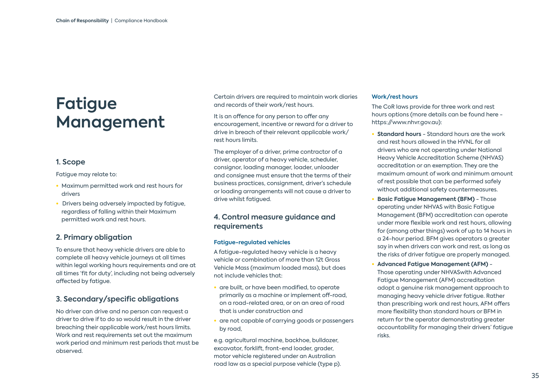## **Fatigue Management**

#### **1. Scope**

Fatigue may relate to:

- **•** Maximum permitted work and rest hours for drivers
- **Drivers being adversely impacted by fatigue,** regardless of falling within their Maximum permitted work and rest hours.

## **2. Primary obligation**

To ensure that heavy vehicle drivers are able to complete all heavy vehicle journeys at all times within legal working hours requirements and are at all times 'fit for duty', including not being adversely affected by fatigue.

#### **3. Secondary/specific obligations**

No driver can drive and no person can request a driver to drive if to do so would result in the driver breaching their applicable work/rest hours limits. Work and rest requirements set out the maximum work period and minimum rest periods that must be observed.

Certain drivers are required to maintain work diaries and records of their work/rest hours.

It is an offence for any person to offer any encouragement, incentive or reward for a driver to drive in breach of their relevant applicable work/ rest hours limits.

The employer of a driver, prime contractor of a driver, operator of a heavy vehicle, scheduler, consignor, loading manager, loader, unloader and consignee must ensure that the terms of their business practices, consignment, driver's schedule or loading arrangements will not cause a driver to drive whilst fatigued.

## **4. Control measure guidance and requirements**

#### **Fatigue-regulated vehicles**

A fatigue-regulated heavy vehicle is a heavy vehicle or combination of more than 12t Gross Vehicle Mass (maximum loaded mass), but does not include vehicles that:

- **•** are built, or have been modified, to operate primarily as a machine or implement off-road, on a road-related area, or on an area of road that is under construction and
- **•** are not capable of carrying goods or passengers by road,

e.g. agricultural machine, backhoe, bulldozer, excavator, forklift, front-end loader, grader, motor vehicle registered under an Australian road law as a special purpose vehicle (type p).

#### **Work/rest hours**

The CoR laws provide for three work and rest hours options (more details can be found here https://www.nhvr.gov.au):

- **• Standard hours** Standard hours are the work and rest hours allowed in the HVNL for all drivers who are not operating under National Heavy Vehicle Accreditation Scheme (NHVAS) accreditation or an exemption. They are the maximum amount of work and minimum amount of rest possible that can be performed safely without additional safety countermeasures.
- **• Basic Fatigue Management (BFM)** Those operating under NHVAS with Basic Fatigue Management (BFM) accreditation can operate under more flexible work and rest hours, allowing for (among other things) work of up to 14 hours in a 24-hour period. BFM gives operators a greater say in when drivers can work and rest, as long as the risks of driver fatigue are properly managed.
- **• Advanced Fatigue Management (AFM)** Those operating under NHVASwith Advanced Fatigue Management (AFM) accreditation adopt a genuine risk management approach to managing heavy vehicle driver fatigue. Rather than prescribing work and rest hours, AFM offers more flexibility than standard hours or BFM in return for the operator demonstrating greater accountability for managing their drivers' fatigue risks.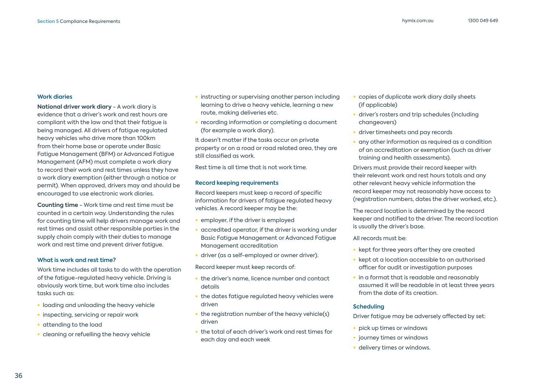#### **Work diaries**

**National driver work diary** - A work diary is evidence that a driver's work and rest hours are compliant with the law and that their fatigue is being managed. All drivers of fatigue regulated heavy vehicles who drive more than 100km from their home base or operate under Basic Fatigue Management (BFM) or Advanced Fatigue Management (AFM) must complete a work diary to record their work and rest times unless they have a work diary exemption (either through a notice or permit). When approved, drivers may and should be encouraged to use electronic work diaries.

**Counting time** - Work time and rest time must be counted in a certain way. Understanding the rules for counting time will help drivers manage work and rest times and assist other responsible parties in the supply chain comply with their duties to manage work and rest time and prevent driver fatigue.

#### **What is work and rest time?**

Work time includes all tasks to do with the operation of the fatigue-regulated heavy vehicle. Driving is obviously work time, but work time also includes tasks such as:

- **•** loading and unloading the heavy vehicle
- **•** inspecting, servicing or repair work
- **•** attending to the load
- **•** cleaning or refuelling the heavy vehicle
- **•** instructing or supervising another person including learning to drive a heavy vehicle, learning a new route, making deliveries etc.
- **•** recording information or completing a document (for example a work diary).

It doesn't matter if the tasks occur on private property or on a road or road related area, they are still classified as work.

Rest time is all time that is not work time.

#### **Record keeping requirements**

Record keepers must keep a record of specific information for drivers of fatigue regulated heavy vehicles. A record keeper may be the:

- **•** employer, if the driver is employed
- **•** accredited operator, if the driver is working under Basic Fatigue Management or Advanced Fatigue Management accreditation
- **•** driver (as a self-employed or owner driver).

Record keeper must keep records of:

- **•** the driver's name, licence number and contact details
- **•** the dates fatigue regulated heavy vehicles were driven
- the registration number of the heavy vehicle(s) driven
- **•** the total of each driver's work and rest times for each day and each week
- **•** copies of duplicate work diary daily sheets (if applicable)
- **•** driver's rosters and trip schedules (including changeovers)
- **•** driver timesheets and pay records
- **•** any other information as required as a condition of an accreditation or exemption (such as driver training and health assessments).

Drivers must provide their record keeper with their relevant work and rest hours totals and any other relevant heavy vehicle information the record keeper may not reasonably have access to (registration numbers, dates the driver worked, etc.).

The record location is determined by the record keeper and notified to the driver. The record location is usually the driver's base.

All records must be:

- **•** kept for three years after they are created
- **•** kept at a location accessible to an authorised officer for audit or investigation purposes
- **•** in a format that is readable and reasonably assumed it will be readable in at least three years from the date of its creation.

#### **Scheduling**

Driver fatigue may be adversely affected by set:

- **•** pick up times or windows
- **•** journey times or windows
- **•** delivery times or windows.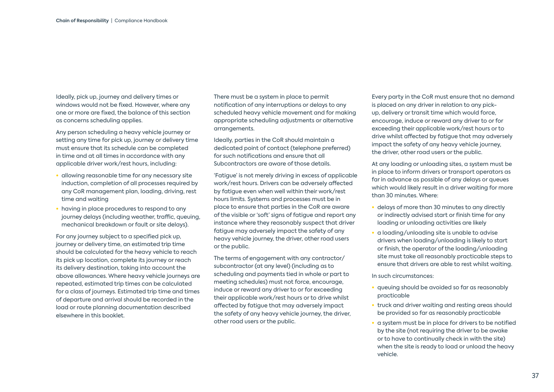Ideally, pick up, journey and delivery times or windows would not be fixed. However, where any one or more are fixed, the balance of this section as concerns scheduling applies.

Any person scheduling a heavy vehicle journey or setting any time for pick up, journey or delivery time must ensure that its schedule can be completed in time and at all times in accordance with any applicable driver work/rest hours, including:

- **•** allowing reasonable time for any necessary site induction, completion of all processes required by any CoR management plan, loading, driving, rest time and waiting
- **•** having in place procedures to respond to any journey delays (including weather, traffic, queuing, mechanical breakdown or fault or site delays).

For any journey subject to a specified pick up, journey or delivery time, an estimated trip time should be calculated for the heavy vehicle to reach its pick up location, complete its journey or reach its delivery destination, taking into account the above allowances. Where heavy vehicle journeys are repeated, estimated trip times can be calculated for a class of journeys. Estimated trip time and times of departure and arrival should be recorded in the load or route planning documentation described elsewhere in this booklet.

There must be a system in place to permit notification of any interruptions or delays to any scheduled heavy vehicle movement and for making appropriate scheduling adjustments or alternative arrangements.

Ideally, parties in the CoR should maintain a dedicated point of contact (telephone preferred) for such notifications and ensure that all Subcontractors are aware of those details.

'Fatigue' is not merely driving in excess of applicable work/rest hours. Drivers can be adversely affected by fatigue even when well within their work/rest hours limits. Systems and processes must be in place to ensure that parties in the CoR are aware of the visible or 'soft' signs of fatigue and report any instance where they reasonably suspect that driver fatigue may adversely impact the safety of any heavy vehicle journey, the driver, other road users or the public.

The terms of engagement with any contractor/ subcontractor (at any level) (including as to scheduling and payments tied in whole or part to meeting schedules) must not force, encourage, induce or reward any driver to or for exceeding their applicable work/rest hours or to drive whilst affected by fatigue that may adversely impact the safety of any heavy vehicle journey, the driver, other road users or the public.

Every party in the CoR must ensure that no demand is placed on any driver in relation to any pickup, delivery or transit time which would force, encourage, induce or reward any driver to or for exceeding their applicable work/rest hours or to drive whilst affected by fatigue that may adversely impact the safety of any heavy vehicle journey, the driver, other road users or the public.

At any loading or unloading sites, a system must be in place to inform drivers or transport operators as far in advance as possible of any delays or queues which would likely result in a driver waiting for more than 30 minutes. Where:

- **•** delays of more than 30 minutes to any directly or indirectly advised start or finish time for any loading or unloading activities are likely
- **•** a loading/unloading site is unable to advise drivers when loading/unloading is likely to start or finish, the operator of the loading/unloading site must take all reasonably practicable steps to ensure that drivers are able to rest whilst waiting.

In such circumstances:

- **•** queuing should be avoided so far as reasonably practicable
- **•** truck and driver waiting and resting areas should be provided so far as reasonably practicable
- **•** a system must be in place for drivers to be notified by the site (not requiring the driver to be awake or to have to continually check in with the site) when the site is ready to load or unload the heavy vehicle.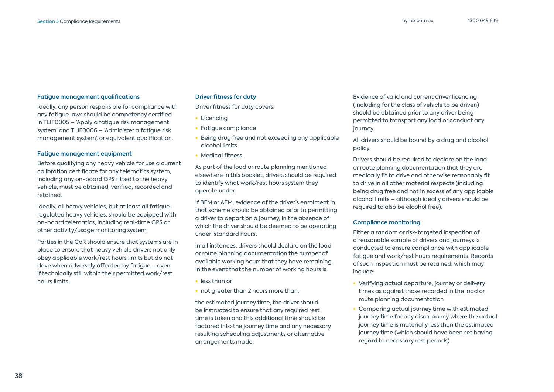#### **Fatigue management qualifications**

Ideally, any person responsible for compliance with any fatigue laws should be competency certified in TLIF0005 – 'Apply a fatigue risk management system' and TLIF0006 – 'Administer a fatigue risk management system', or equivalent qualification.

#### **Fatigue management equipment**

Before qualifying any heavy vehicle for use a current calibration certificate for any telematics system, including any on-board GPS fitted to the heavy vehicle, must be obtained, verified, recorded and retained.

Ideally, all heavy vehicles, but at least all fatigueregulated heavy vehicles, should be equipped with on-board telematics, including real-time GPS or other activity/usage monitoring system.

Parties in the CoR should ensure that systems are in place to ensure that heavy vehicle drivers not only obey applicable work/rest hours limits but do not drive when adversely affected by fatigue – even if technically still within their permitted work/rest hours limits.

#### **Driver fitness for duty**

Driver fitness for duty covers:

- **•** Licencing
- **•** Fatigue compliance
- **•** Being drug free and not exceeding any applicable alcohol limits
- **•** Medical fitness.

As part of the load or route planning mentioned elsewhere in this booklet, drivers should be required to identify what work/rest hours system they operate under.

If BFM or AFM, evidence of the driver's enrolment in that scheme should be obtained prior to permitting a driver to depart on a journey, in the absence of which the driver should be deemed to be operating under 'standard hours'.

In all instances, drivers should declare on the load or route planning documentation the number of available working hours that they have remaining. In the event that the number of working hours is

- **•** less than or
- **•** not greater than 2 hours more than,

the estimated journey time, the driver should be instructed to ensure that any required rest time is taken and this additional time should be factored into the journey time and any necessary resulting scheduling adjustments or alternative arrangements made.

Evidence of valid and current driver licencing (including for the class of vehicle to be driven) should be obtained prior to any driver being permitted to transport any load or conduct any journey.

All drivers should be bound by a drug and alcohol policy.

Drivers should be required to declare on the load or route planning documentation that they are medically fit to drive and otherwise reasonably fit to drive in all other material respects (including being drug free and not in excess of any applicable alcohol limits – although ideally drivers should be required to also be alcohol free).

#### **Compliance monitoring**

Either a random or risk-targeted inspection of a reasonable sample of drivers and journeys is conducted to ensure compliance with applicable fatigue and work/rest hours requirements. Records of such inspection must be retained, which may include:

- **•** Verifying actual departure, journey or delivery times as against those recorded in the load or route planning documentation
- **•** Comparing actual journey time with estimated journey time for any discrepancy where the actual journey time is materially less than the estimated journey time (which should have been set having regard to necessary rest periods)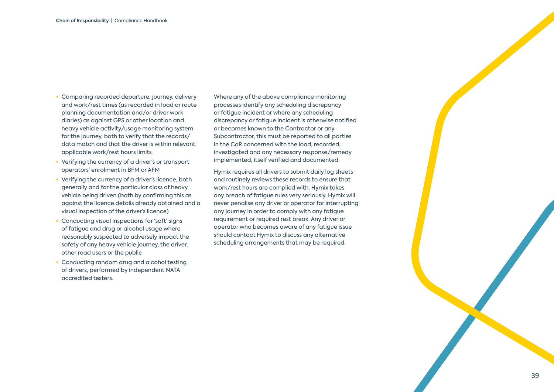- **•** Comparing recorded departure, journey, delivery and work/rest times (as recorded in load or route planning documentation and/or driver work diaries) as against GPS or other location and heavy vehicle activity/usage monitoring system for the journey, both to verify that the records/ data match and that the driver is within relevant applicable work/rest hours limits
- **•** Verifying the currency of a driver's or transport operators' enrolment in BFM or AFM
- **•** Verifying the currency of a driver's licence, both generally and for the particular class of heavy vehicle being driven (both by confirming this as against the licence details already obtained and a visual inspection of the driver's licence)
- **•** Conducting visual inspections for 'soft' signs of fatigue and drug or alcohol usage where reasonably suspected to adversely impact the safety of any heavy vehicle journey, the driver, other road users or the public
- **•** Conducting random drug and alcohol testing of drivers, performed by independent NATA accredited testers.

Where any of the above compliance monitoring processes identify any scheduling discrepancy or fatigue incident or where any scheduling discrepancy or fatigue incident is otherwise notified or becomes known to the Contractor or any Subcontractor, this must be reported to all parties in the CoR concerned with the load, recorded, investigated and any necessary response/remedy implemented, itself verified and documented.

Hymix requires all drivers to submit daily log sheets and routinely reviews these records to ensure that work/rest hours are complied with. Hymix takes any breach of fatigue rules very seriously. Hymix will never penalise any driver or operator for interrupting any journey in order to comply with any fatigue requirement or required rest break. Any driver or operator who becomes aware of any fatigue issue should contact Hymix to discuss any alternative scheduling arrangements that may be required.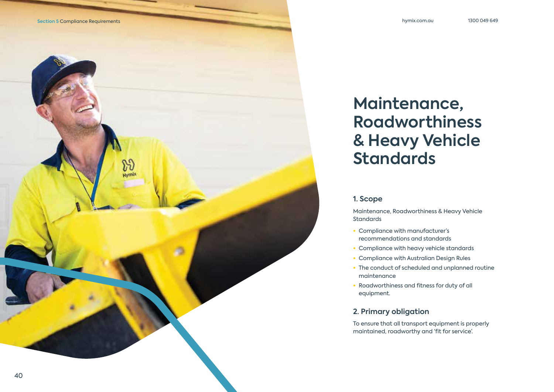

## **Maintenance, Roadworthiness & Heavy Vehicle Standards**

#### **1. Scope**

Maintenance, Roadworthiness & Heavy Vehicle Standards

- **•** Compliance with manufacturer's recommendations and standards
- **•** Compliance with heavy vehicle standards
- **•** Compliance with Australian Design Rules
- **•** The conduct of scheduled and unplanned routine maintenance
- **•** Roadworthiness and fitness for duty of all equipment.

#### **2. Primary obligation**

To ensure that all transport equipment is properly maintained, roadworthy and 'fit for service'.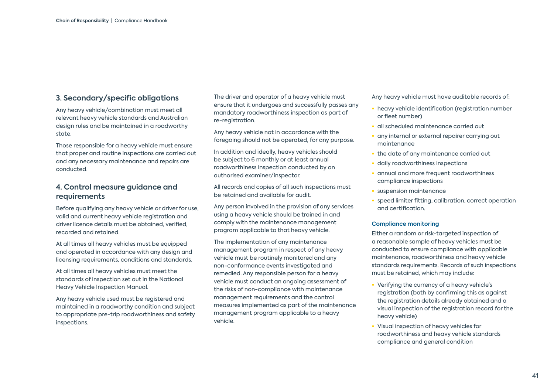#### **3. Secondary/specific obligations**

Any heavy vehicle/combination must meet all relevant heavy vehicle standards and Australian design rules and be maintained in a roadworthy state.

Those responsible for a heavy vehicle must ensure that proper and routine inspections are carried out and any necessary maintenance and repairs are conducted.

#### **4. Control measure guidance and requirements**

Before qualifying any heavy vehicle or driver for use, valid and current heavy vehicle registration and driver licence details must be obtained, verified, recorded and retained.

At all times all heavy vehicles must be equipped and operated in accordance with any design and licensing requirements, conditions and standards.

At all times all heavy vehicles must meet the standards of inspection set out in the National Heavy Vehicle Inspection Manual.

Any heavy vehicle used must be registered and maintained in a roadworthy condition and subject to appropriate pre-trip roadworthiness and safety inspections.

The driver and operator of a heavy vehicle must ensure that it undergoes and successfully passes any mandatory roadworthiness inspection as part of re-registration.

Any heavy vehicle not in accordance with the foregoing should not be operated, for any purpose.

In addition and ideally, heavy vehicles should be subject to 6 monthly or at least annual roadworthiness inspection conducted by an authorised examiner/inspector.

All records and copies of all such inspections must be retained and available for audit.

Any person involved in the provision of any services using a heavy vehicle should be trained in and comply with the maintenance management program applicable to that heavy vehicle.

The implementation of any maintenance management program in respect of any heavy vehicle must be routinely monitored and any non-conformance events investigated and remedied. Any responsible person for a heavy vehicle must conduct an ongoing assessment of the risks of non-compliance with maintenance management requirements and the control measures implemented as part of the maintenance management program applicable to a heavy vehicle.

Any heavy vehicle must have auditable records of:

- **•** heavy vehicle identification (registration number or fleet number)
- **•** all scheduled maintenance carried out
- **•** any internal or external repairer carrying out maintenance
- **•** the date of any maintenance carried out
- **•** daily roadworthiness inspections
- **•** annual and more frequent roadworthiness compliance inspections
- **•** suspension maintenance
- **•** speed limiter fitting, calibration, correct operation and certification.

#### **Compliance monitoring**

Either a random or risk-targeted inspection of a reasonable sample of heavy vehicles must be conducted to ensure compliance with applicable maintenance, roadworthiness and heavy vehicle standards requirements. Records of such inspections must be retained, which may include:

- **•** Verifying the currency of a heavy vehicle's registration (both by confirming this as against the registration details already obtained and a visual inspection of the registration record for the heavy vehicle)
- **•** Visual inspection of heavy vehicles for roadworthiness and heavy vehicle standards compliance and general condition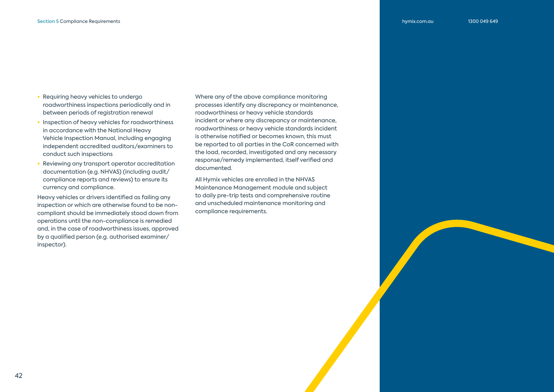- **•** Requiring heavy vehicles to undergo roadworthiness inspections periodically and in between periods of registration renewal
- **•** Inspection of heavy vehicles for roadworthiness in accordance with the National Heavy Vehicle Inspection Manual, including engaging independent accredited auditors/examiners to conduct such inspections
- **•** Reviewing any transport operator accreditation documentation (e.g. NHVAS) (including audit/ compliance reports and reviews) to ensure its currency and compliance.

Heavy vehicles or drivers identified as failing any inspection or which are otherwise found to be noncompliant should be immediately stood down from operations until the non-compliance is remedied and, in the case of roadworthiness issues, approved by a qualified person (e.g. authorised examiner/ inspector).

Where any of the above compliance monitoring processes identify any discrepancy or maintenance, roadworthiness or heavy vehicle standards incident or where any discrepancy or maintenance, roadworthiness or heavy vehicle standards incident is otherwise notified or becomes known, this must be reported to all parties in the CoR concerned with the load, recorded, investigated and any necessary response/remedy implemented, itself verified and documented.

All Hymix vehicles are enrolled in the NHVAS Maintenance Management module and subject to daily pre-trip tests and comprehensive routine and unscheduled maintenance monitoring and compliance requirements.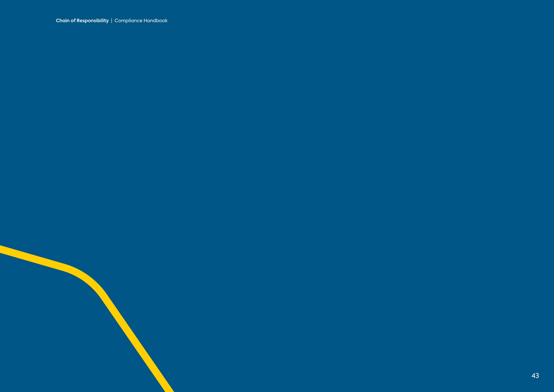**Chain of Responsibility** | Compliance Handbook